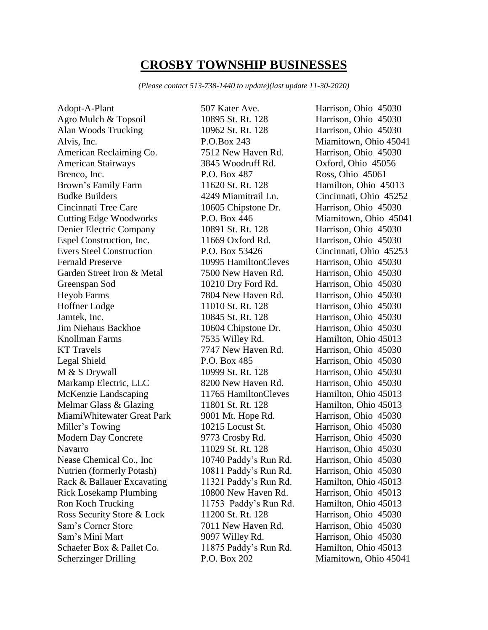## **CROSBY TOWNSHIP BUSINESSES**

*(Please contact 513-738-1440 to update)(last update 11-30-2020)*

Adopt-A-Plant 507 Kater Ave. Harrison, Ohio 45030 Agro Mulch & Topsoil 10895 St. Rt. 128 Harrison, Ohio 45030 Alan Woods Trucking 10962 St. Rt. 128 Harrison, Ohio 45030 Alvis, Inc. P.O.Box 243 Miamitown, Ohio 45041 American Reclaiming Co. 7512 New Haven Rd. Harrison, Ohio 45030 American Stairways 3845 Woodruff Rd. Oxford, Ohio 45056 Brenco, Inc. **P.O. Box 487** Ross, Ohio 45061 Brown's Family Farm 11620 St. Rt. 128 Hamilton, Ohio 45013 Budke Builders 4249 Miamitrail Ln. Cincinnati, Ohio 45252 Cincinnati Tree Care 10605 Chipstone Dr. Harrison, Ohio 45030 Cutting Edge Woodworks P.O. Box 446 Miamitown, Ohio 45041 Denier Electric Company 10891 St. Rt. 128 Harrison, Ohio 45030 Espel Construction, Inc. 11669 Oxford Rd. Harrison, Ohio 45030 Evers Steel Construction P.O. Box 53426 Cincinnati, Ohio 45253 Fernald Preserve 10995 HamiltonCleves Harrison, Ohio 45030 Garden Street Iron & Metal 7500 New Haven Rd. Harrison, Ohio 45030 Greenspan Sod 10210 Dry Ford Rd. Harrison, Ohio 45030 Heyob Farms 7804 New Haven Rd. Harrison, Ohio 45030 Hoffner Lodge 11010 St. Rt. 128 Harrison, Ohio 45030 Jamtek, Inc. 10845 St. Rt. 128 Harrison, Ohio 45030 Jim Niehaus Backhoe 10604 Chipstone Dr. Harrison, Ohio 45030 Knollman Farms 7535 Willey Rd. Hamilton, Ohio 45013 KT Travels 7747 New Haven Rd. Harrison, Ohio 45030 Legal Shield P.O. Box 485 Harrison, Ohio 45030 M & S Drywall 10999 St. Rt. 128 Harrison, Ohio 45030 Markamp Electric, LLC 8200 New Haven Rd. Harrison, Ohio 45030 McKenzie Landscaping 11765 HamiltonCleves Hamilton, Ohio 45013 Melmar Glass & Glazing 11801 St. Rt. 128 Hamilton, Ohio 45013 MiamiWhitewater Great Park 9001 Mt. Hope Rd. Harrison, Ohio 45030 Miller's Towing 10215 Locust St. Harrison, Ohio 45030 Modern Day Concrete 9773 Crosby Rd. Harrison, Ohio 45030 Navarro 11029 St. Rt. 128 Harrison, Ohio 45030 Nease Chemical Co., Inc 10740 Paddy's Run Rd. Harrison, Ohio 45030 Nutrien (formerly Potash) 10811 Paddy's Run Rd. Harrison, Ohio 45030 Rack & Ballauer Excavating 11321 Paddy's Run Rd. Hamilton, Ohio 45013 Rick Losekamp Plumbing 10800 New Haven Rd. Harrison, Ohio 45013 Ron Koch Trucking 11753 Paddy's Run Rd. Hamilton, Ohio 45013 Ross Security Store & Lock 11200 St. Rt. 128 Harrison, Ohio 45030 Sam's Corner Store 7011 New Haven Rd. Harrison, Ohio 45030 Sam's Mini Mart 9097 Willey Rd. Harrison, Ohio 45030 Schaefer Box & Pallet Co. 11875 Paddy's Run Rd. Hamilton, Ohio 45013 Scherzinger Drilling P.O. Box 202 Miamitown, Ohio 45041